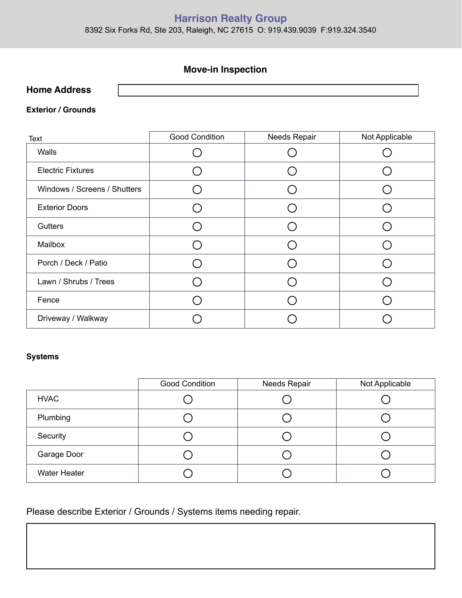# **Harrison Realty Group**

8392 Six Forks Rd, Ste 203, Raleigh, NC 27615 O: 919.439.9039 F:919.324.3540

# **Move-in Inspection**

| <b>Home Address</b> |  |
|---------------------|--|
|                     |  |

#### **Exterior / Grounds**

| Text                         | <b>Good Condition</b> | Needs Repair | Not Applicable |
|------------------------------|-----------------------|--------------|----------------|
| Walls                        |                       |              |                |
| <b>Electric Fixtures</b>     |                       |              |                |
| Windows / Screens / Shutters |                       |              |                |
| <b>Exterior Doors</b>        |                       |              |                |
| Gutters                      |                       |              |                |
| Mailbox                      |                       |              |                |
| Porch / Deck / Patio         |                       |              |                |
| Lawn / Shrubs / Trees        |                       |              |                |
| Fence                        |                       |              |                |
| Driveway / Walkway           |                       |              |                |

#### **Systems**

|                     | <b>Good Condition</b> | Needs Repair | Not Applicable |
|---------------------|-----------------------|--------------|----------------|
| <b>HVAC</b>         |                       |              |                |
| Plumbing            |                       |              |                |
| Security            |                       |              |                |
| Garage Door         |                       |              |                |
| <b>Water Heater</b> |                       |              |                |

Please describe Exterior / Grounds / Systems items needing repair.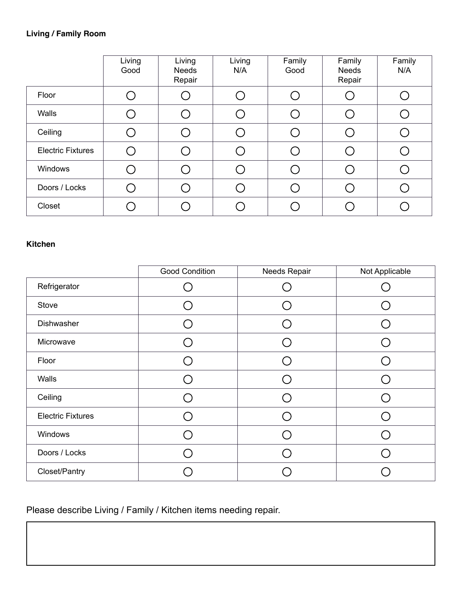|                          | Living<br>Good | Living<br><b>Needs</b><br>Repair | Living<br>N/A | Family<br>Good | Family<br><b>Needs</b><br>Repair | Family<br>N/A |
|--------------------------|----------------|----------------------------------|---------------|----------------|----------------------------------|---------------|
| Floor                    |                |                                  |               |                |                                  |               |
| Walls                    |                |                                  |               |                |                                  |               |
| Ceiling                  |                |                                  |               |                |                                  |               |
| <b>Electric Fixtures</b> |                |                                  |               |                |                                  |               |
| Windows                  |                |                                  |               |                |                                  |               |
| Doors / Locks            |                |                                  |               |                |                                  |               |
| Closet                   |                |                                  |               |                |                                  |               |

## **Kitchen**

|                          | <b>Good Condition</b>    | Needs Repair             | Not Applicable |
|--------------------------|--------------------------|--------------------------|----------------|
| Refrigerator             |                          |                          |                |
| Stove                    |                          |                          |                |
| Dishwasher               | $\overline{\phantom{a}}$ | $\overline{\phantom{1}}$ |                |
| Microwave                |                          |                          |                |
| Floor                    |                          |                          |                |
| Walls                    |                          |                          |                |
| Ceiling                  |                          |                          |                |
| <b>Electric Fixtures</b> | ( `                      | ⌒                        |                |
| Windows                  |                          |                          |                |
| Doors / Locks            |                          |                          |                |
| Closet/Pantry            |                          |                          |                |

Please describe Living / Family / Kitchen items needing repair.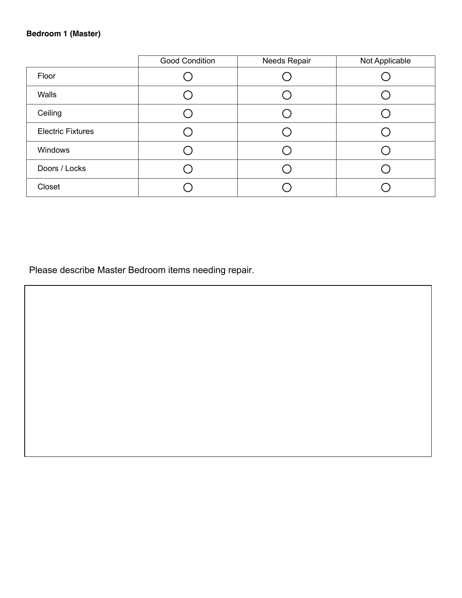### **Bedroom 1 (Master)**

|                          | <b>Good Condition</b> | Needs Repair | Not Applicable |
|--------------------------|-----------------------|--------------|----------------|
| Floor                    |                       |              |                |
| Walls                    |                       |              |                |
| Ceiling                  |                       |              |                |
| <b>Electric Fixtures</b> |                       |              |                |
| Windows                  |                       |              |                |
| Doors / Locks            |                       |              |                |
| Closet                   |                       |              |                |

Please describe Master Bedroom items needing repair.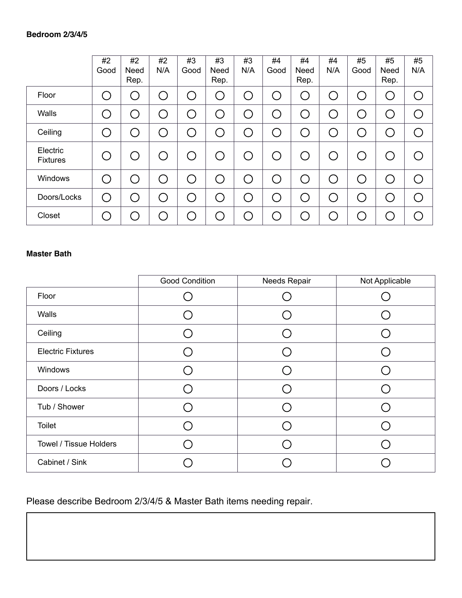|                             | #2<br>Good | #2<br>Need<br>Rep.                            | #2<br>N/A | #3<br>Good                  | #3<br>Need<br>Rep. | #3<br>N/A | #4<br>Good | #4<br>Need<br>Rep. | #4<br>N/A         | #5<br>Good | #5<br>Need<br>Rep. | #5<br>N/A      |
|-----------------------------|------------|-----------------------------------------------|-----------|-----------------------------|--------------------|-----------|------------|--------------------|-------------------|------------|--------------------|----------------|
| Floor                       |            | ( )                                           |           |                             | C                  |           | O          |                    | $(\ )$            | ŗ.         |                    | ◯              |
| Walls                       |            | ( )                                           |           |                             | С                  |           | O          |                    | $\overline{(\ })$ | C          |                    | ◯              |
| Ceiling                     |            | ◯                                             |           |                             | С                  |           | ◯          |                    | $(\ )$            | $\subset$  |                    | $\mathcal{C}$  |
| Electric<br><b>Fixtures</b> |            | $\left( \begin{array}{c} \end{array} \right)$ |           | $(\quad)$                   | ◯                  |           | O          |                    | C .               | $\subset$  |                    | $\overline{a}$ |
| Windows                     | ( )        | ◯                                             |           | ⊆.                          | ◯                  |           | ◯          |                    | C .               | ◯          | Γ.                 | ◯              |
| Doors/Locks                 | $\bigcap$  | ◯                                             |           | $\mathcal{L}_{\mathcal{A}}$ | ◠                  |           | ◯          |                    | ( )               | $\bigcap$  |                    | $\bigcap$      |
| Closet                      |            |                                               |           |                             | r,                 |           |            |                    |                   |            |                    |                |

#### **Master Bath**

|                          | <b>Good Condition</b> | Needs Repair | Not Applicable |
|--------------------------|-----------------------|--------------|----------------|
| Floor                    |                       |              |                |
| Walls                    |                       |              |                |
| Ceiling                  |                       |              |                |
| <b>Electric Fixtures</b> |                       |              |                |
| Windows                  |                       |              |                |
| Doors / Locks            |                       |              |                |
| Tub / Shower             |                       |              |                |
| <b>Toilet</b>            |                       |              |                |
| Towel / Tissue Holders   |                       |              |                |
| Cabinet / Sink           |                       |              |                |

Please describe Bedroom 2/3/4/5 & Master Bath items needing repair.